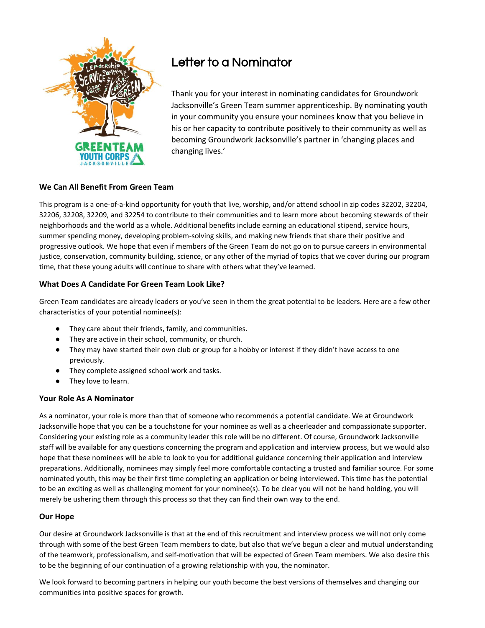

# Letter to a Nominator

Thank you for your interest in nominating candidates for Groundwork Jacksonville's Green Team summer apprenticeship. By nominating youth in your community you ensure your nominees know that you believe in his or her capacity to contribute positively to their community as well as becoming Groundwork Jacksonville's partner in 'changing places and changing lives.'

# **We Can All Benefit From Green Team**

This program is a one-of-a-kind opportunity for youth that live, worship, and/or attend school in zip codes 32202, 32204, 32206, 32208, 32209, and 32254 to contribute to their communities and to learn more about becoming stewards of their neighborhoods and the world as a whole. Additional benefits include earning an educational stipend, service hours, summer spending money, developing problem-solving skills, and making new friends that share their positive and progressive outlook. We hope that even if members of the Green Team do not go on to pursue careers in environmental justice, conservation, community building, science, or any other of the myriad of topics that we cover during our program time, that these young adults will continue to share with others what they've learned.

# **What Does A Candidate For Green Team Look Like?**

Green Team candidates are already leaders or you've seen in them the great potential to be leaders. Here are a few other characteristics of your potential nominee(s):

- They care about their friends, family, and communities.
- They are active in their school, community, or church.
- They may have started their own club or group for a hobby or interest if they didn't have access to one previously.
- They complete assigned school work and tasks.
- They love to learn.

# **Your Role As A Nominator**

As a nominator, your role is more than that of someone who recommends a potential candidate. We at Groundwork Jacksonville hope that you can be a touchstone for your nominee as well as a cheerleader and compassionate supporter. Considering your existing role as a community leader this role will be no different. Of course, Groundwork Jacksonville staff will be available for any questions concerning the program and application and interview process, but we would also hope that these nominees will be able to look to you for additional guidance concerning their application and interview preparations. Additionally, nominees may simply feel more comfortable contacting a trusted and familiar source. For some nominated youth, this may be their first time completing an application or being interviewed. This time has the potential to be an exciting as well as challenging moment for your nominee(s). To be clear you will not be hand holding, you will merely be ushering them through this process so that they can find their own way to the end.

# **Our Hope**

Our desire at Groundwork Jacksonville is that at the end of this recruitment and interview process we will not only come through with some of the best Green Team members to date, but also that we've begun a clear and mutual understanding of the teamwork, professionalism, and self-motivation that will be expected of Green Team members. We also desire this to be the beginning of our continuation of a growing relationship with you, the nominator.

We look forward to becoming partners in helping our youth become the best versions of themselves and changing our communities into positive spaces for growth.